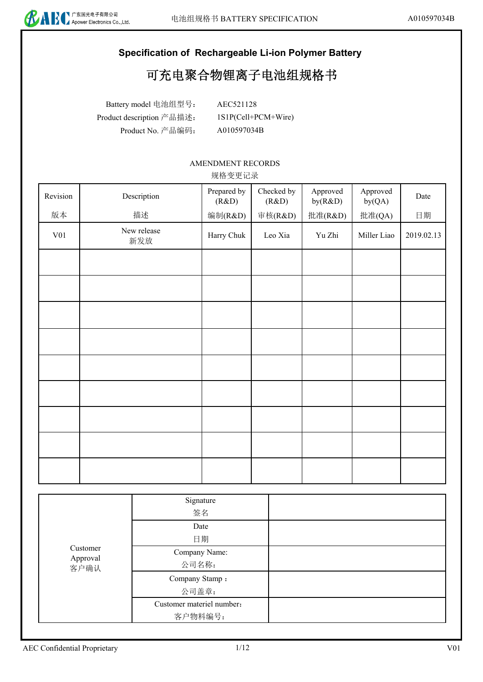

# **Specification of Rechargeable Li-ion Polymer Battery**

# 可充电聚合物锂离子电池组规格书

Product No. 产品编码: A010597034B Battery model 电池组型号: Product description 产品描述:

AEC521128 1S1P(Cell+PCM+Wire)

### AMENDMENT RECORDS

规格变更记录

| Revision | Description        | Prepared by<br>(R&D) | Checked by<br>(R&D) | Approved<br>by(R&D) | Approved<br>by(QA) | Date       |
|----------|--------------------|----------------------|---------------------|---------------------|--------------------|------------|
| 版本       | 描述                 | 编制(R&D)              | 审核(R&D)             | 批准(R&D)             | 批准(QA)             | 日期         |
| V01      | New release<br>新发放 | Harry Chuk           | Leo Xia             | Yu Zhi              | Miller Liao        | 2019.02.13 |
|          |                    |                      |                     |                     |                    |            |
|          |                    |                      |                     |                     |                    |            |
|          |                    |                      |                     |                     |                    |            |
|          |                    |                      |                     |                     |                    |            |
|          |                    |                      |                     |                     |                    |            |
|          |                    |                      |                     |                     |                    |            |
|          |                    |                      |                     |                     |                    |            |
|          |                    |                      |                     |                     |                    |            |
|          |                    |                      |                     |                     |                    |            |

|                              | Signature<br>签名                      |  |
|------------------------------|--------------------------------------|--|
|                              | Date<br>日期                           |  |
| Customer<br>Approval<br>客户确认 | Company Name:<br>公司名称:               |  |
|                              | Company Stamp:<br>公司盖章:              |  |
|                              | Customer materiel number:<br>客户物料编号: |  |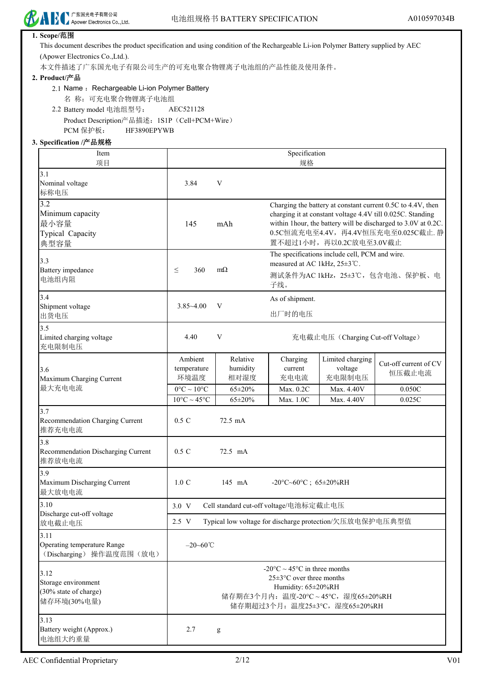

### **1. Scope/**范围

(Apower Electronics Co.,Ltd.). This document describes the product specification and using condition of the Rechargeable Li-ion Polymer Battery supplied by AEC

本文件描述了广东国光电子有限公司生产的可充电聚合物锂离子电池组的产品性能及使用条件。

#### **2. Product/**产品

### 2.1 Name: Rechargeable Li-ion Polymer Battery

- 名 称:可充电聚合物锂离子电池组
- Product Description产品描述: 1S1P (Cell+PCM+Wire) 2.2 Battery model 电池组型号: AEC521128 HF3890EPYWB PCM 保护板:

### **3. Specification /**产品规格

| Item<br>项目                                                          | Specification<br>规格                                                                                                                                   |                                        |                                                                                                                                                                                                                                                                |                                                                   |                                 |  |
|---------------------------------------------------------------------|-------------------------------------------------------------------------------------------------------------------------------------------------------|----------------------------------------|----------------------------------------------------------------------------------------------------------------------------------------------------------------------------------------------------------------------------------------------------------------|-------------------------------------------------------------------|---------------------------------|--|
| 3.1<br>Nominal voltage<br>标称电压                                      | 3.84                                                                                                                                                  | V                                      |                                                                                                                                                                                                                                                                |                                                                   |                                 |  |
| 3.2<br>Minimum capacity<br>最小容量<br>Typical Capacity<br>典型容量         | 145                                                                                                                                                   | mAh                                    | Charging the battery at constant current 0.5C to 4.4V, then<br>charging it at constant voltage 4.4V till 0.025C. Standing<br>within 1hour, the battery will be discharged to 3.0V at 0.2C.<br>0.5C恒流充电至4.4V, 再4.4V恒压充电至0.025C截止. 静<br>置不超过1小时, 再以0.2C放电至3.0V截止 |                                                                   |                                 |  |
| 3.3<br>Battery impedance<br>电池组内阻                                   | The specifications include cell, PCM and wire.<br>measured at AC 1kHz, 25±3℃.<br>360<br>$m\Omega$<br>$\leq$<br>测试条件为AC 1kHz, 25±3℃, 包含电池、保护板、电<br>子线。 |                                        |                                                                                                                                                                                                                                                                |                                                                   |                                 |  |
| 3.4<br>Shipment voltage<br>出货电压                                     | $3.85 - 4.00$                                                                                                                                         | V                                      | As of shipment.<br>出厂时的电压                                                                                                                                                                                                                                      |                                                                   |                                 |  |
| 3.5<br>Limited charging voltage<br>充电限制电压                           | 4.40                                                                                                                                                  | V                                      | 充电截止电压 (Charging Cut-off Voltage)                                                                                                                                                                                                                              |                                                                   |                                 |  |
| 3.6<br>Maximum Charging Current                                     | Ambient<br>temperature<br>环境温度                                                                                                                        | Relative<br>humidity<br>相对湿度           | Charging<br>current<br>充电电流                                                                                                                                                                                                                                    | Limited charging<br>voltage<br>充电限制电压                             | Cut-off current of CV<br>恒压截止电流 |  |
| 最大充电电流                                                              | $0^{\circ}$ C ~ 10°C                                                                                                                                  | 65±20%                                 | Max. 0.2C                                                                                                                                                                                                                                                      | Max. 4.40V                                                        | 0.050C                          |  |
| 3.7<br>Recommendation Charging Current<br>推荐充电电流                    | $10^{\circ}$ C ~ 45°C<br>$0.5\text{ C}$                                                                                                               | $65 \pm 20\%$<br>$72.5 \text{ mA}$     | Max. 1.0C                                                                                                                                                                                                                                                      | Max. 4.40V                                                        | 0.025C                          |  |
| 3.8<br>Recommendation Discharging Current<br>推荐放电电流                 | $0.5\,C$                                                                                                                                              | 72.5 mA                                |                                                                                                                                                                                                                                                                |                                                                   |                                 |  |
| 3.9<br>Maximum Discharging Current<br>最大放电电流                        | $1.0\text{ C}$                                                                                                                                        | 145 mA                                 | -20°C~60°C; 65±20%RH                                                                                                                                                                                                                                           |                                                                   |                                 |  |
| 3.10<br>Discharge cut-off voltage                                   | 3.0 V                                                                                                                                                 | Cell standard cut-off voltage/电池标定截止电压 |                                                                                                                                                                                                                                                                |                                                                   |                                 |  |
| 放电截止电压                                                              | 2.5 V                                                                                                                                                 |                                        |                                                                                                                                                                                                                                                                | Typical low voltage for discharge protection/欠压放电保护电压典型值          |                                 |  |
| 3.11<br>Operating temperature Range<br>(Discharging) 操作温度范围(放电)     | $-20 - 60$ °C                                                                                                                                         |                                        |                                                                                                                                                                                                                                                                |                                                                   |                                 |  |
| 3.12<br>Storage environment<br>(30% state of charge)<br>储存环境(30%电量) |                                                                                                                                                       |                                        | $-20^{\circ}$ C ~ 45 <sup>o</sup> C in three months<br>$25 \pm 3$ °C over three months<br>Humidity: 65±20%RH                                                                                                                                                   | 储存期在3个月内: 温度-20℃~45℃, 湿度65±20%RH<br>储存期超过3个月: 温度25±3℃, 湿度65±20%RH |                                 |  |
| 3.13<br>Battery weight (Approx.)<br>电池组大约重量                         | 2.7                                                                                                                                                   | g                                      |                                                                                                                                                                                                                                                                |                                                                   |                                 |  |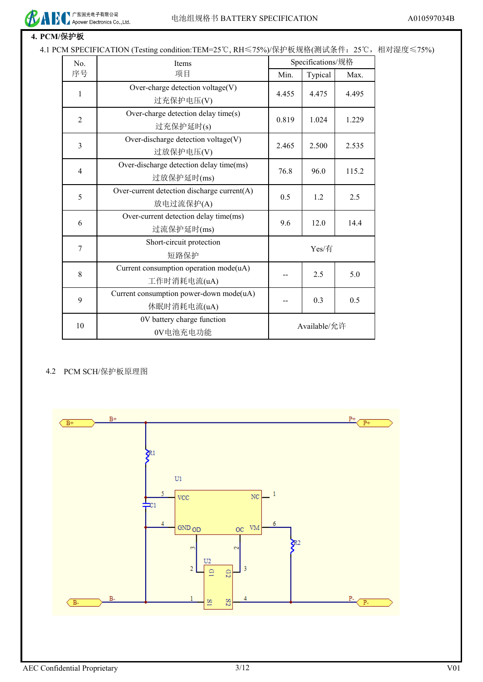

### **4. PCM/**保护板

4.1 PCM SPECIFICATION (Testing condition:TEM=25℃, RH≤75%)/保护板规格(测试条件:25℃,相对湿度≤75%)

| No.            | <b>Items</b>                                             | Specifications/规格 |              |       |  |
|----------------|----------------------------------------------------------|-------------------|--------------|-------|--|
| 序号             | 项目                                                       | Min.              | Typical      | Max.  |  |
| 1              | Over-charge detection voltage(V)<br>过充保护电压(V)            | 4.455             | 4.475        | 4.495 |  |
| $\overline{2}$ | Over-charge detection delay time(s)<br>过充保护延时(s)         | 0.819             | 1.024        | 1.229 |  |
| 3              | Over-discharge detection voltage(V)<br>过放保护电压(V)         | 2.465             | 2.500        | 2.535 |  |
| 4              | Over-discharge detection delay time(ms)<br>过放保护延时(ms)    | 76.8              | 96.0         | 115.2 |  |
| 5              | Over-current detection discharge current(A)<br>放电过流保护(A) | 0.5               | 1.2          | 2.5   |  |
| 6              | Over-current detection delay time(ms)<br>过流保护延时(ms)      | 9.6               | 12.0         | 14.4  |  |
| $\overline{7}$ | Short-circuit protection<br>短路保护                         | Yes/有             |              |       |  |
| 8              | Current consumption operation mode(uA)<br>工作时消耗电流(uA)    |                   | 2.5          | 5.0   |  |
| 9              | Current consumption power-down mode(uA)<br>休眠时消耗电流(uA)   |                   | 0.3          | 0.5   |  |
| 10             | 0V battery charge function<br>0V电池充电功能                   |                   | Available/允许 |       |  |

### 4.2 PCM SCH/保护板原理图

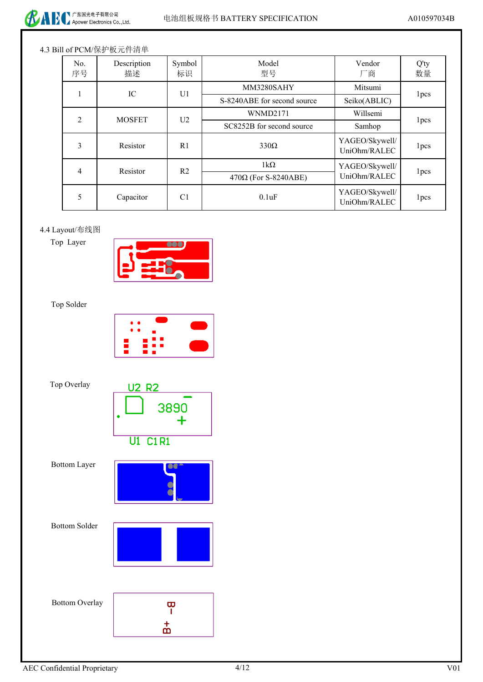

## 4.3 Bill of PCM/保护板元件清单

| No.<br>序号 | Description<br>描述 | Symbol<br>标识   | Model<br>型号                 | Vendor<br>一商                   | Q'ty<br>数量       |      |
|-----------|-------------------|----------------|-----------------------------|--------------------------------|------------------|------|
|           | IC                | U <sub>1</sub> | MM3280SAHY                  |                                |                  |      |
|           |                   |                | S-8240ABE for second source | Seiko(ABLIC)                   | 1 <sub>pcs</sub> |      |
| 2         | <b>MOSFET</b>     | U <sub>2</sub> | <b>WNMD2171</b>             | Willsemi                       |                  |      |
|           |                   |                | SC8252B for second source   | Samhop                         | 1pcs             |      |
| 3         | Resistor          | R <sub>1</sub> | $330\Omega$                 | YAGEO/Skywell/<br>UniOhm/RALEC | 1pcs             |      |
| 4         | Resistor          | R <sub>2</sub> | $1k\Omega$                  | YAGEO/Skywell/                 |                  |      |
|           |                   |                |                             | $470\Omega$ (For S-8240ABE)    | UniOhm/RALEC     | 1pcs |
| 5         | Capacitor         | C <sub>1</sub> | 0.1uF                       | YAGEO/Skywell/<br>UniOhm/RALEC | 1 <sub>pcs</sub> |      |

# 4.4 Layout/布线图

Top Layer



Top Solder

| Top Overlay           | <u>U2 R2 </u><br>3890<br>C1R1<br>$\overline{\text{U1}}$ |
|-----------------------|---------------------------------------------------------|
| <b>Bottom Layer</b>   |                                                         |
| <b>Bottom Solder</b>  |                                                         |
| <b>Bottom Overlay</b> | m                                                       |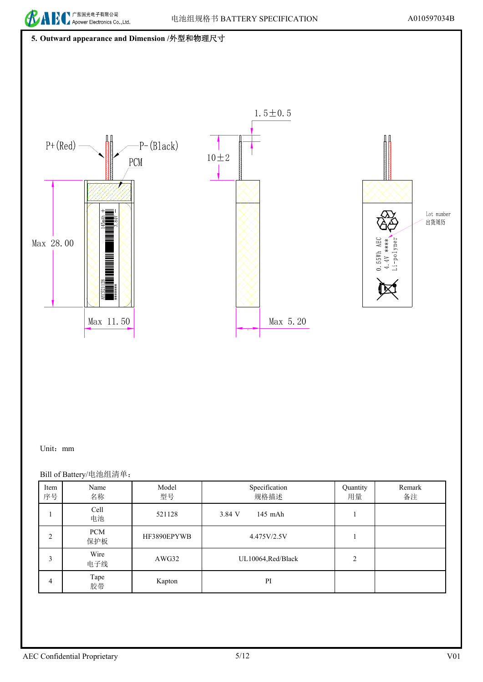



### Unit:mm

### Bill of Battery/电池组清单:

| Item<br>序号 | Name<br>名称        | Model<br>型号 | Specification<br>规格描述 | Quantity<br>用量 | Remark<br>备注 |
|------------|-------------------|-------------|-----------------------|----------------|--------------|
|            | Cell<br>电池        | 521128      | 145 mAh<br>3.84 V     |                |              |
| 2          | <b>PCM</b><br>保护板 | HF3890EPYWB | 4.475V/2.5V           |                |              |
| 3          | Wire<br>电子线       | AWG32       | UL10064, Red/Black    | 2              |              |
| 4          | Tape<br>胶带        | Kapton      | PI                    |                |              |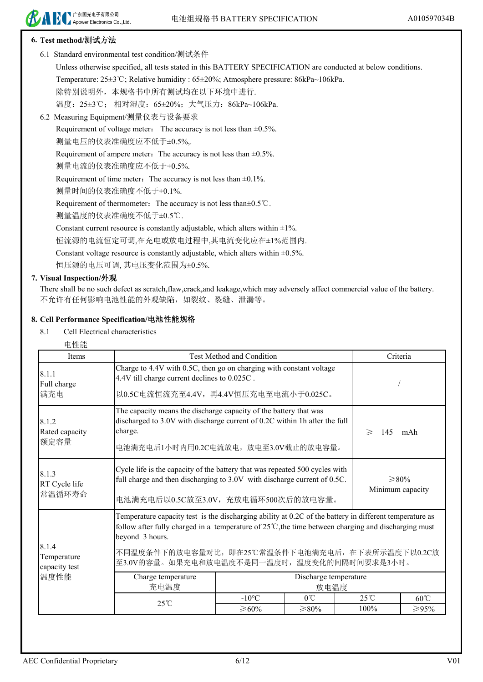# **6. Test method/**测试方法

■广东国光电子有限公司 Apower Electronics Co., Ltd.

6.1 Standard environmental test condition/测试条件

 Temperature: 25±3℃; Relative humidity : 65±20%; Atmosphere pressure: 86kPa~106kPa. Unless otherwise specified, all tests stated in this BATTERY SPECIFICATION are conducted at below conditions.

除特别说明外,本规格书中所有测试均在以下环境中进行.

温度:25±3℃; 相对湿度:65±20%;大气压力:86kPa~106kPa.

6.2 Measuring Equipment/测量仪表与设备要求

Requirement of voltage meter: The accuracy is not less than  $\pm 0.5\%$ .

测量电压的仪表准确度应不低于±0.5%,.

Requirement of ampere meter: The accuracy is not less than  $\pm 0.5$ %. 测量电流的仪表准确度应不低于±0.5%.

Requirement of time meter: The accuracy is not less than  $\pm 0.1\%$ .

测量时间的仪表准确度不低于±0.1%.

Requirement of thermometer: The accuracy is not less than $\pm 0.5^{\circ}$ C.

测量温度的仪表准确度不低于±0.5℃.

Constant current resource is constantly adjustable, which alters within  $\pm 1\%$ .

恒流源的电流恒定可调,在充电或放电过程中,其电流变化应在±1%范围内.

Constant voltage resource is constantly adjustable, which alters within  $\pm 0.5\%$ .

恒压源的电压可调, 其电压变化范围为±0.5%.

## **7. Visual Inspection/**外观

There shall be no such defect as scratch,flaw,crack,and leakage,which may adversely affect commercial value of the battery. 不允许有任何影响电池性能的外观缺陷,如裂纹、裂缝、泄漏等。

## **8. Cell Performance Specification/**电池性能规格

8.1 Cell Electrical characteristics

| 电性能                                                                                                                                                                                                                                                                                                                                                                                   |                                                                                                                                                                                                                                   |                                                                                                                                                                                                                 |                               |                |                |  |
|---------------------------------------------------------------------------------------------------------------------------------------------------------------------------------------------------------------------------------------------------------------------------------------------------------------------------------------------------------------------------------------|-----------------------------------------------------------------------------------------------------------------------------------------------------------------------------------------------------------------------------------|-----------------------------------------------------------------------------------------------------------------------------------------------------------------------------------------------------------------|-------------------------------|----------------|----------------|--|
| <b>Items</b>                                                                                                                                                                                                                                                                                                                                                                          |                                                                                                                                                                                                                                   | <b>Test Method and Condition</b>                                                                                                                                                                                |                               |                | Criteria       |  |
| 8.1.1<br>Full charge<br>满充电                                                                                                                                                                                                                                                                                                                                                           | Charge to 4.4V with 0.5C, then go on charging with constant voltage<br>4.4V till charge current declines to 0.025C.<br>以0.5C电流恒流充至4.4V, 再4.4V恒压充电至电流小于0.025C。                                                                     |                                                                                                                                                                                                                 |                               |                |                |  |
| 8.1.2<br>Rated capacity<br>额定容量                                                                                                                                                                                                                                                                                                                                                       | charge.                                                                                                                                                                                                                           | The capacity means the discharge capacity of the battery that was<br>discharged to 3.0V with discharge current of 0.2C within 1h after the full<br>145<br>mAh<br>$\geq$<br>电池满充电后1小时内用0.2C电流放电, 放电至3.0V截止的放电容量。 |                               |                |                |  |
| 8.1.3<br>RT Cycle life<br>常温循环寿命                                                                                                                                                                                                                                                                                                                                                      | Cycle life is the capacity of the battery that was repeated 500 cycles with<br>full charge and then discharging to 3.0V with discharge current of 0.5C.<br>$\geq 80\%$<br>Minimum capacity<br>电池满充电后以0.5C放至3.0V, 充放电循环500次后的放电容量。 |                                                                                                                                                                                                                 |                               |                |                |  |
| Temperature capacity test is the discharging ability at 0.2C of the battery in different temperature as<br>follow after fully charged in a temperature of $25^{\circ}$ , the time between charging and discharging must<br>beyond 3 hours.<br>8.1.4<br>不同温度条件下的放电容量对比, 即在25℃常温条件下电池满充电后, 在下表所示温度下以0.2C放<br>Temperature<br>至3.0V的容量。如果充电和放电温度不是同一温度时,温度变化的间隔时间要求是3小时。<br>capacity test |                                                                                                                                                                                                                                   |                                                                                                                                                                                                                 |                               |                |                |  |
| 温度性能                                                                                                                                                                                                                                                                                                                                                                                  | Charge temperature<br>充电温度                                                                                                                                                                                                        |                                                                                                                                                                                                                 | Discharge temperature<br>放电温度 |                |                |  |
|                                                                                                                                                                                                                                                                                                                                                                                       | $25^{\circ}$ C                                                                                                                                                                                                                    | $-10^{\circ}$ C                                                                                                                                                                                                 | $0^{\circ}C$                  | $25^{\circ}$ C | $60^{\circ}$ C |  |
|                                                                                                                                                                                                                                                                                                                                                                                       |                                                                                                                                                                                                                                   | $\geq 60\%$                                                                                                                                                                                                     | $\geq 80\%$                   | 100%           | ≥95%           |  |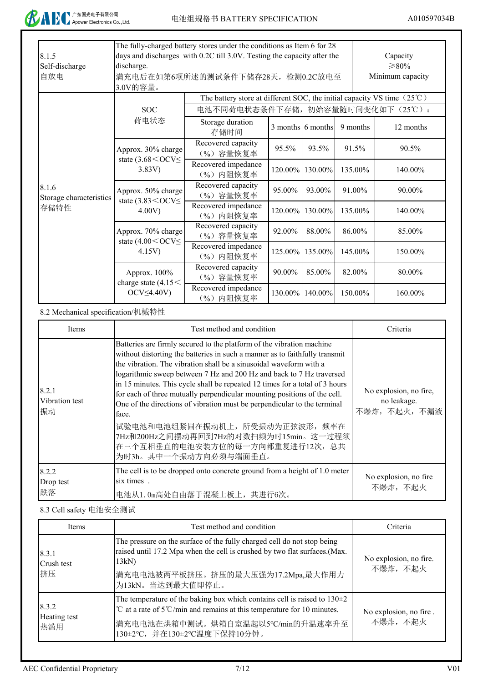

|                                  |                                                                                         | The fully-charged battery stores under the conditions as Item 6 for 28 |         |                   |          |                                  |  |  |
|----------------------------------|-----------------------------------------------------------------------------------------|------------------------------------------------------------------------|---------|-------------------|----------|----------------------------------|--|--|
| 8.1.5                            | days and discharges with 0.2C till 3.0V. Testing the capacity after the<br>Capacity     |                                                                        |         |                   |          |                                  |  |  |
| Self-discharge                   | discharge.                                                                              | $\geq 80\%$                                                            |         |                   |          |                                  |  |  |
| 自放电                              |                                                                                         | Minimum capacity<br>满充电后在如第6项所述的测试条件下储存28天, 检测0.2C放电至                  |         |                   |          |                                  |  |  |
|                                  | 3.0V的容量。                                                                                |                                                                        |         |                   |          |                                  |  |  |
|                                  | The battery store at different SOC, the initial capacity VS time $(25^{\circ}\text{C})$ |                                                                        |         |                   |          |                                  |  |  |
|                                  | <b>SOC</b>                                                                              |                                                                        |         |                   |          | 电池不同荷电状态条件下存储, 初始容量随时间变化如下(25℃): |  |  |
|                                  | 荷电状态                                                                                    | Storage duration<br>存储时间                                               |         | 3 months 6 months | 9 months | 12 months                        |  |  |
|                                  | Approx. 30% charge<br>state $(3.68<$ OCV $\leq$<br>$3.83V$ )                            | Recovered capacity<br>(%)容量恢复率                                         | 95.5%   | 93.5%             | 91.5%    | 90.5%                            |  |  |
|                                  |                                                                                         | Recovered impedance<br>(%) 内阻恢复率                                       |         | 120.00% 130.00%   | 135.00%  | 140.00%                          |  |  |
| 8.1.6<br>Storage characteristics | Approx. 50% charge<br>state $(3.83<$ OCV $\leq$<br>$4.00V$ )                            | Recovered capacity<br>(%) 容量恢复率                                        | 95.00%  | 93.00%            | 91.00%   | 90.00%                           |  |  |
| 存储特性                             |                                                                                         | Recovered impedance<br>(%) 内阻恢复率                                       | 120.00% | 130.00%           | 135.00%  | 140.00%                          |  |  |
|                                  | Approx. 70% charge<br>state $(4.00 \leq OCV \leq$                                       | Recovered capacity<br>(%)容量恢复率                                         | 92.00%  | 88.00%            | 86.00%   | 85.00%                           |  |  |
|                                  | $4.15V$ )                                                                               | Recovered impedance<br>(%) 内阻恢复率                                       | 125.00% | 135.00%           | 145.00%  | 150.00%                          |  |  |
|                                  | Approx. 100%                                                                            | Recovered capacity<br>(%) 容量恢复率                                        | 90.00%  | 85.00%            | 82.00%   | 80.00%                           |  |  |
|                                  | charge state $(4.15<$<br>$OCV \leq 4.40V$                                               | Recovered impedance<br>(%) 内阻恢复率                                       | 130.00% | 140.00%           | 150.00%  | 160.00%                          |  |  |

8.2 Mechanical specification/机械特性

| <b>Items</b>                  | Test method and condition                                                                                                                                                                                                                                                                                                                                                                                                                                                                                                                                                                                                                                                                  | Criteria                                             |
|-------------------------------|--------------------------------------------------------------------------------------------------------------------------------------------------------------------------------------------------------------------------------------------------------------------------------------------------------------------------------------------------------------------------------------------------------------------------------------------------------------------------------------------------------------------------------------------------------------------------------------------------------------------------------------------------------------------------------------------|------------------------------------------------------|
| 8.2.1<br>Vibration test<br>振动 | Batteries are firmly secured to the platform of the vibration machine<br>without distorting the batteries in such a manner as to faithfully transmit<br>the vibration. The vibration shall be a sinusoidal waveform with a<br>logarithmic sweep between 7 Hz and 200 Hz and back to 7 Hz traversed<br>in 15 minutes. This cycle shall be repeated 12 times for a total of 3 hours<br>for each of three mutually perpendicular mounting positions of the cell.<br>One of the directions of vibration must be perpendicular to the terminal<br>face.<br>试验电池和电池组紧固在振动机上, 所受振动为正弦波形, 频率在<br>7Hz和200Hz之间摆动再回到7Hz的对数扫频为时15min。这一过程须<br>在三个互相垂直的电池安装方位的每一方向都重复进行12次, 总共<br>为时3h。其中一个振动方向必须与端面垂直。 | No explosion, no fire,<br>no leakage.<br>不爆炸,不起火,不漏液 |
| 8.2.2<br>Drop test<br>跌落      | The cell is to be dropped onto concrete ground from a height of 1.0 meter<br>six times.<br>电池从1.0m高处自由落于混凝土板上,共进行6次。                                                                                                                                                                                                                                                                                                                                                                                                                                                                                                                                                                       | No explosion, no fire<br>不爆炸,不起火                     |

8.3 Cell safety 电池安全测试

| <b>Items</b>                 | Test method and condition                                                                                                                                                                                                 |                                   |
|------------------------------|---------------------------------------------------------------------------------------------------------------------------------------------------------------------------------------------------------------------------|-----------------------------------|
| 8.3.1<br>Crush test<br>挤压    | The pressure on the surface of the fully charged cell do not stop being<br>raised until 17.2 Mpa when the cell is crushed by two flat surfaces. (Max.<br>13kN<br>满充电电池被两平板挤压。挤压的最大压强为17.2Mpa,最大作用力<br>为13kN。当达到最大值即停止。    | No explosion, no fire.<br>不爆炸,不起火 |
| 8.3.2<br>Heating test<br>热滥用 | The temperature of the baking box which contains cell is raised to $130\pm2$<br>°C at a rate of 5°C/min and remains at this temperature for 10 minutes.<br>满充电电池在烘箱中测试。烘箱自室温起以5℃/min的升温速率升至<br>130±2℃, 并在130±2℃温度下保持10分钟。 | No explosion, no fire.<br>不爆炸,不起火 |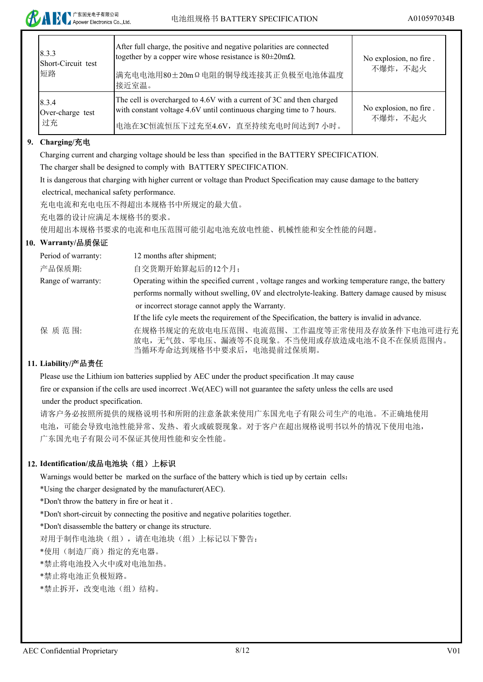| 8.3.3<br>Short-Circuit test<br>短路 | After full charge, the positive and negative polarities are connected<br>together by a copper wire whose resistance is $80 \pm 20 \text{m}\Omega$ .<br>满充电电池用80±20mΩ电阻的铜导线连接其正负极至电池体温度<br>接近室温。 | No explosion, no fire.<br>不爆炸,不起火 |
|-----------------------------------|-------------------------------------------------------------------------------------------------------------------------------------------------------------------------------------------------|-----------------------------------|
| 8.3.4<br>Over-charge test<br>过充   | The cell is overcharged to 4.6V with a current of 3C and then charged<br>with constant voltage 4.6V until continuous charging time to 7 hours.<br>电池在3C恒流恒压下过充至4.6V, 直至持续充电时间达到7 小时。            | No explosion, no fire.<br>不爆炸,不起火 |

### **9. Charging/**充电

Charging current and charging voltage should be less than specified in the BATTERY SPECIFICATION.

The charger shall be designed to comply with BATTERY SPECIFICATION.

It is dangerous that charging with higher current or voltage than Product Specification may cause damage to the battery electrical, mechanical safety performance.

充电电流和充电电压不得超出本规格书中所规定的最大值。

充电器的设计应满足本规格书的要求。

使用超出本规格书要求的电流和电压范围可能引起电池充放电性能、机械性能和安全性能的问题。

### **10. Warranty/**品质保证

| Period of warranty: | 12 months after shipment;                                                                                          |
|---------------------|--------------------------------------------------------------------------------------------------------------------|
| 产品保质期:              | 自交货期开始算起后的12个月;                                                                                                    |
| Range of warranty:  | Operating within the specified current, voltage ranges and working temperature range, the battery                  |
|                     | performs normally without swelling, 0V and electrolyte-leaking. Battery damage caused by misuse                    |
|                     | or incorrect storage cannot apply the Warranty.                                                                    |
|                     | If the life cyle meets the requirement of the Specification, the battery is invalid in advance.                    |
| 保质范围:               | 在规格书规定的充放电电压范围、电流范围、工作温度等正常使用及存放条件下电池可进行充<br>放电,无气鼓、零电压、漏液等不良现象。不当使用或存放造成电池不良不在保质范围内。<br>当循环寿命达到规格书中要求后, 电池提前过保质期。 |

### **11. Liability/**产品责任

fire or expansion if the cells are used incorrect .We(AEC) will not guarantee the safety unless the cells are used under the product specification. Please use the Lithium ion batteries supplied by AEC under the product specification .It may cause

请客户务必按照所提供的规格说明书和所附的注意条款来使用广东国光电子有限公司生产的电池。不正确地使用 电池,可能会导致电池性能异常、发热、着火或破裂现象。对于客户在超出规格说明书以外的情况下使用电池, 广东国光电子有限公司不保证其使用性能和安全性能。

### **12. Identification/**成品电池块(组)上标识

Warnings would better be marked on the surface of the battery which is tied up by certain cells:

\*Using the charger designated by the manufacturer(AEC).

\*Don't throw the battery in fire or heat it .

\*Don't short-circuit by connecting the positive and negative polarities together.

\*Don't disassemble the battery or change its structure.

对用于制作电池块(组),请在电池块(组)上标记以下警告:

\*使用(制造厂商)指定的充电器。

\*禁止将电池投入火中或对电池加热。

\*禁止将电池正负极短路。

\*禁止拆开,改变电池(组)结构。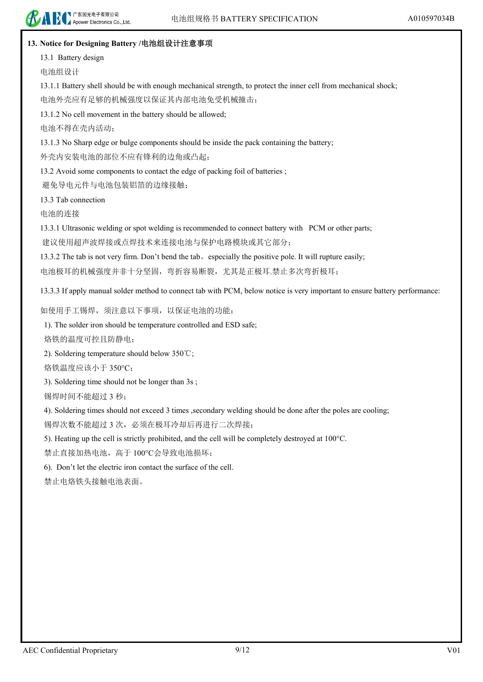### **13. Notice for Designing Battery /**电池组设计注意事项

13.1 Battery design

电池组设计

电池外壳应有足够的机械强度以保证其内部电池免受机械撞击; 13.1.1 Battery shell should be with enough mechanical strength, to protect the inner cell from mechanical shock;

13.1.2 No cell movement in the battery should be allowed;

电池不得在壳内活动;

13.1.3 No Sharp edge or bulge components should be inside the pack containing the battery;

外壳内安装电池的部位不应有锋利的边角或凸起;

13.2 Avoid some components to contact the edge of packing foil of batteries ;

避免导电元件与电池包装铝箔的边缘接触;

13.3 Tab connection

电池的连接

13.3.1 Ultrasonic welding or spot welding is recommended to connect battery with PCM or other parts;

建议使用超声波焊接或点焊技术来连接电池与保护电路模块或其它部分;

13.3.2 The tab is not very firm. Don't bend the tab。especially the positive pole. It will rupture easily;

电池极耳的机械强度并非十分坚固,弯折容易断裂,尤其是正极耳.禁止多次弯折极耳;

13.3.3 If apply manual solder method to connect tab with PCM, below notice is very important to ensure battery performance:

如使用手工锡焊,须注意以下事项,以保证电池的功能:

1). The solder iron should be temperature controlled and ESD safe;

烙铁的温度可控且防静电;

2). Soldering temperature should below 350℃;

烙铁温度应该小于 350°C;

3). Soldering time should not be longer than 3s ;

锡焊时间不能超过 3 秒;

4). Soldering times should not exceed 3 times ,secondary welding should be done after the poles are cooling;

锡焊次数不能超过 3 次,必须在极耳冷却后再进行二次焊接;

5). Heating up the cell is strictly prohibited, and the cell will be completely destroyed at 100°C.

禁止直接加热电池,高于 100°C会导致电池损坏;

6). Don't let the electric iron contact the surface of the cell.

禁止电烙铁头接触电池表面。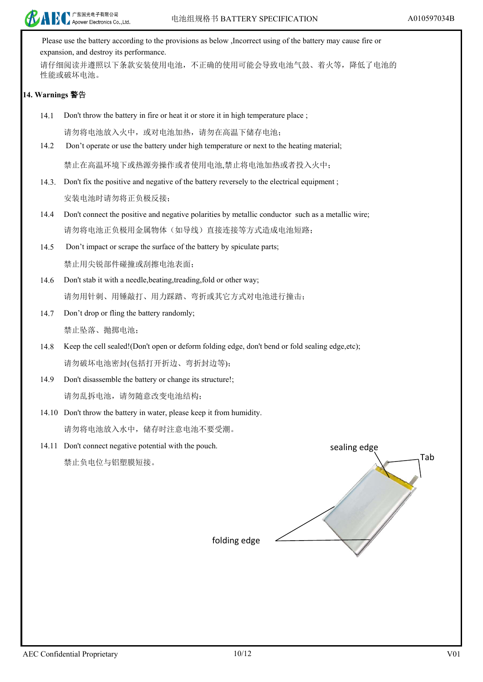Please use the battery according to the provisions as below ,Incorrect using of the battery may cause fire or 14.1 请勿将电池放入火中,或对电池加热,请勿在高温下储存电池; 14.2 14.3. Don't fix the positive and negative of the battery reversely to the electrical equipment ; 安装电池时请勿将正负极反接; 14.4 请勿将电池正负极用金属物体(如导线)直接连接等方式造成电池短路; 14.5 禁止用尖锐部件碰撞或刮擦电池表面; 14.6 请勿用针刺、用锤敲打、用力踩踏、弯折或其它方式对电池进行撞击; 14.7 禁止坠落、抛掷电池; 14.8 Keep the cell sealed!(Don't open or deform folding edge, don't bend or fold sealing edge,etc); 请勿破坏电池密封(包括打开折边、弯折封边等); 14.9 请勿乱拆电池,请勿随意改变电池结构; 14.10 Don't throw the battery in water, please keep it from humidity. 请勿将电池放入水中,储存时注意电池不要受潮。 14.11 Don't connect negative potential with the pouch. 请仔细阅读并遵照以下条款安装使用电池,不正确的使用可能会导致电池气鼓、着火等,降低了电池的 性能或破坏电池。 禁止在高温环境下或热源旁操作或者使用电池,禁止将电池加热或者投入火中; Don't operate or use the battery under high temperature or next to the heating material; **14. Warnings** 警告 Don't throw the battery in fire or heat it or store it in high temperature place ; expansion, and destroy its performance. 禁止负电位与铝塑膜短接。 Don't disassemble the battery or change its structure!; Don't drop or fling the battery randomly; Don't stab it with a needle, beating, treading, fold or other way; Don't impact or scrape the surface of the battery by spiculate parts; Don't connect the positive and negative polarities by metallic conductor such as a metallic wire; Tab sealing edge folding edge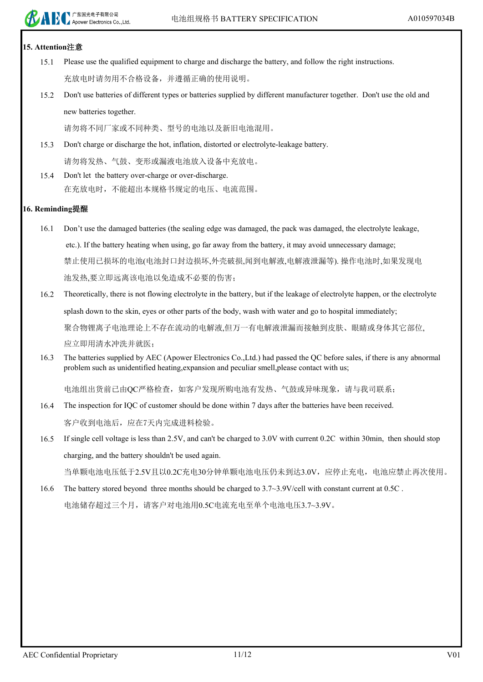## **15. Attention**注意

- 15.1 Please use the qualified equipment to charge and discharge the battery, and follow the right instructions. 充放电时请勿用不合格设备,并遵循正确的使用说明。
- 15.2 new batteries together. Don't use batteries of different types or batteries supplied by different manufacturer together. Don't use the old and

请勿将不同厂家或不同种类、型号的电池以及新旧电池混用。

- 15.3 Don't charge or discharge the hot, inflation, distorted or electrolyte-leakage battery. 请勿将发热、气鼓、变形或漏液电池放入设备中充放电。
- 15.4 在充放电时,不能超出本规格书规定的电压、电流范围。 Don't let the battery over-charge or over-discharge.

### **16. Reminding**提醒

- 16.1 Don't use the damaged batteries (the sealing edge was damaged, the pack was damaged, the electrolyte leakage, etc.). If the battery heating when using, go far away from the battery, it may avoid unnecessary damage; 禁止使用已损坏的电池(电池封口封边损坏,外壳破损,闻到电解液,电解液泄漏等). 操作电池时,如果发现电 池发热,要立即远离该电池以免造成不必要的伤害;
- 16.2 splash down to the skin, eyes or other parts of the body, wash with water and go to hospital immediately; 聚合物锂离子电池理论上不存在流动的电解液,但万一有电解液泄漏而接触到皮肤、眼睛或身体其它部位, 应立即用清水冲洗并就医; Theoretically, there is not flowing electrolyte in the battery, but if the leakage of electrolyte happen, or the electrolyte
- The batteries supplied by AEC (Apower Electronics Co.,Ltd.) had passed the QC before sales, if there is any abnormal problem such as unidentified heating,expansion and peculiar smell,please contact with us; 16.3

电池组出货前已由QC严格检查,如客户发现所购电池有发热、气鼓或异味现象,请与我司联系;

- 16.4 客户收到电池后,应在7天内完成进料检验。 The inspection for IQC of customer should be done within 7 days after the batteries have been received.
- 16.5 If single cell voltage is less than 2.5V, and can't be charged to 3.0V with current 0.2C within 30min, then should stop charging, and the battery shouldn't be used again.

当单颗电池电压低于2.5V且以0.2C充电30分钟单颗电池电压仍未到达3.0V,应停止充电,电池应禁止再次使用。

16.6 电池储存超过三个月,请客户对电池用0.5C电流充电至单个电池电压3.7~3.9V。 The battery stored beyond three months should be charged to  $3.7 \sim 3.9$ V/cell with constant current at 0.5C.